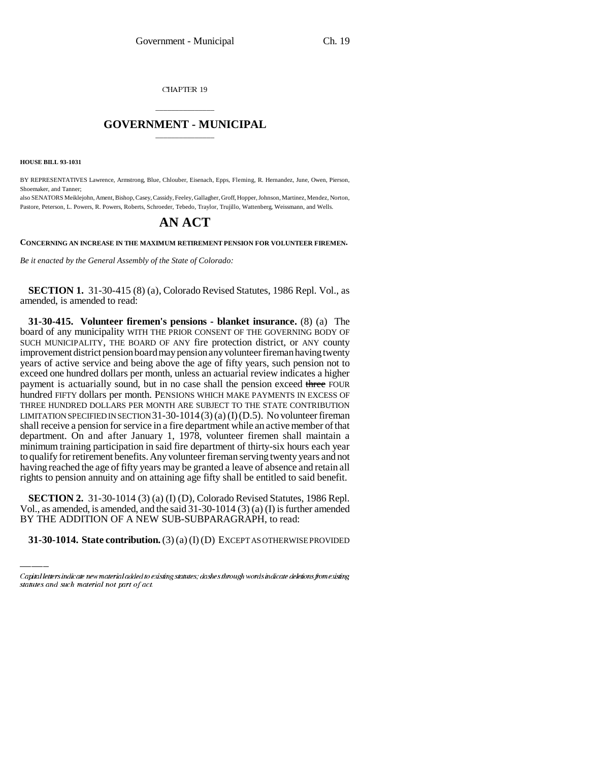CHAPTER 19

## \_\_\_\_\_\_\_\_\_\_\_\_\_\_\_ **GOVERNMENT - MUNICIPAL** \_\_\_\_\_\_\_\_\_\_\_\_\_\_\_

**HOUSE BILL 93-1031**

BY REPRESENTATIVES Lawrence, Armstrong, Blue, Chlouber, Eisenach, Epps, Fleming, R. Hernandez, June, Owen, Pierson, Shoemaker, and Tanner;

also SENATORS Meiklejohn, Ament, Bishop, Casey, Cassidy, Feeley, Gallagher, Groff, Hopper, Johnson, Martinez, Mendez, Norton, Pastore, Peterson, L. Powers, R. Powers, Roberts, Schroeder, Tebedo, Traylor, Trujillo, Wattenberg, Weissmann, and Wells.

## **AN ACT**

**CONCERNING AN INCREASE IN THE MAXIMUM RETIREMENT PENSION FOR VOLUNTEER FIREMEN.**

*Be it enacted by the General Assembly of the State of Colorado:*

**SECTION 1.** 31-30-415 (8) (a), Colorado Revised Statutes, 1986 Repl. Vol., as amended, is amended to read:

**31-30-415. Volunteer firemen's pensions - blanket insurance.** (8) (a) The board of any municipality WITH THE PRIOR CONSENT OF THE GOVERNING BODY OF SUCH MUNICIPALITY, THE BOARD OF ANY fire protection district, or ANY county improvement district pension board may pension any volunteer fireman having twenty years of active service and being above the age of fifty years, such pension not to exceed one hundred dollars per month, unless an actuarial review indicates a higher payment is actuarially sound, but in no case shall the pension exceed three FOUR hundred FIFTY dollars per month. PENSIONS WHICH MAKE PAYMENTS IN EXCESS OF THREE HUNDRED DOLLARS PER MONTH ARE SUBJECT TO THE STATE CONTRIBUTION LIMITATION SPECIFIED IN SECTION 31-30-1014(3) (a) (I)(D.5). No volunteer fireman shall receive a pension for service in a fire department while an active member of that department. On and after January 1, 1978, volunteer firemen shall maintain a minimum training participation in said fire department of thirty-six hours each year to qualify for retirement benefits. Any volunteer fireman serving twenty years and not having reached the age of fifty years may be granted a leave of absence and retain all rights to pension annuity and on attaining age fifty shall be entitled to said benefit.

**SECTION 2.** 31-30-1014 (3) (a) (I) (D), Colorado Revised Statutes, 1986 Repl. Vol., as amended, is amended, and the said 31-30-1014 (3) (a) (I) is further amended BY THE ADDITION OF A NEW SUB-SUBPARAGRAPH, to read:

**31-30-1014. State contribution.** (3) (a) (I) (D) EXCEPT AS OTHERWISE PROVIDED

Capital letters indicate new material added to existing statutes; dashes through words indicate deletions from existing statutes and such material not part of act.